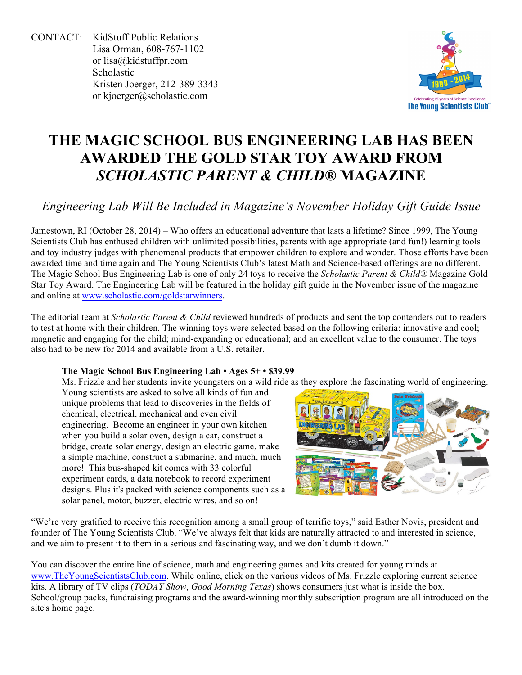CONTACT: KidStuff Public Relations Lisa Orman, 608-767-1102 or lisa@kidstuffpr.com **Scholastic** Kristen Joerger, 212-389-3343 or kjoerger@scholastic.com



# **THE MAGIC SCHOOL BUS ENGINEERING LAB HAS BEEN AWARDED THE GOLD STAR TOY AWARD FROM**  *SCHOLASTIC PARENT & CHILD®* **MAGAZINE**

## *Engineering Lab Will Be Included in Magazine's November Holiday Gift Guide Issue*

Jamestown, RI (October 28, 2014) – Who offers an educational adventure that lasts a lifetime? Since 1999, The Young Scientists Club has enthused children with unlimited possibilities, parents with age appropriate (and fun!) learning tools and toy industry judges with phenomenal products that empower children to explore and wonder. Those efforts have been awarded time and time again and The Young Scientists Club's latest Math and Science-based offerings are no different. The Magic School Bus Engineering Lab is one of only 24 toys to receive the *Scholastic Parent & Child®* Magazine Gold Star Toy Award. The Engineering Lab will be featured in the holiday gift guide in the November issue of the magazine and online at www.scholastic.com/goldstarwinners.

The editorial team at *Scholastic Parent & Child* reviewed hundreds of products and sent the top contenders out to readers to test at home with their children. The winning toys were selected based on the following criteria: innovative and cool; magnetic and engaging for the child; mind-expanding or educational; and an excellent value to the consumer. The toys also had to be new for 2014 and available from a U.S. retailer.

#### **The Magic School Bus Engineering Lab • Ages 5+ • \$39.99**

Ms. Frizzle and her students invite youngsters on a wild ride as they explore the fascinating world of engineering.

Young scientists are asked to solve all kinds of fun and unique problems that lead to discoveries in the fields of chemical, electrical, mechanical and even civil engineering. Become an engineer in your own kitchen when you build a solar oven, design a car, construct a bridge, create solar energy, design an electric game, make a simple machine, construct a submarine, and much, much more! This bus-shaped kit comes with 33 colorful experiment cards, a data notebook to record experiment designs. Plus it's packed with science components such as a solar panel, motor, buzzer, electric wires, and so on!



"We're very gratified to receive this recognition among a small group of terrific toys," said Esther Novis, president and founder of The Young Scientists Club. "We've always felt that kids are naturally attracted to and interested in science, and we aim to present it to them in a serious and fascinating way, and we don't dumb it down."

You can discover the entire line of science, math and engineering games and kits created for young minds at www.TheYoungScientistsClub.com. While online, click on the various videos of Ms. Frizzle exploring current science kits. A library of TV clips (*TODAY Show*, *Good Morning Texas*) shows consumers just what is inside the box. School/group packs, fundraising programs and the award-winning monthly subscription program are all introduced on the site's home page.